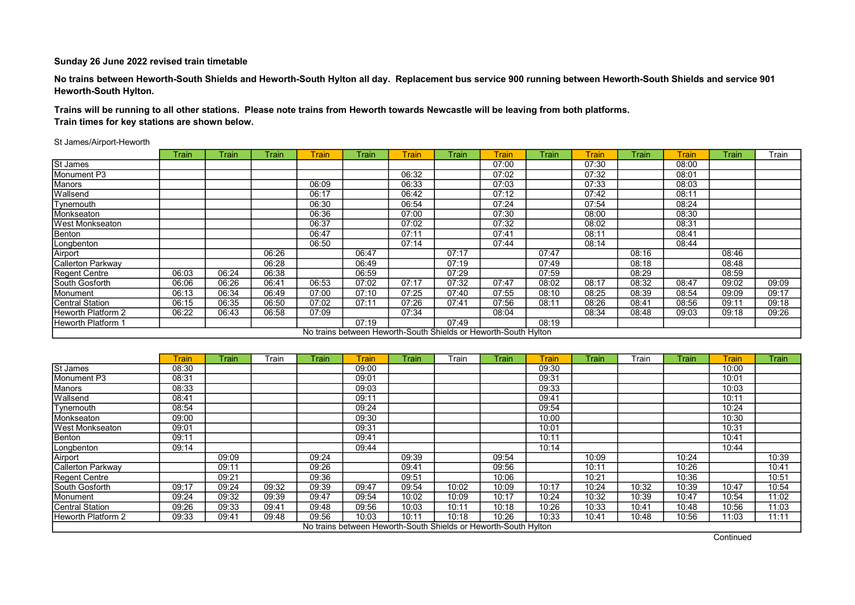No trains between Heworth-South Shields and Heworth-South Hylton all day. Replacement bus service 900 running between Heworth-South Shields and service 901 Heworth-South Hylton.

Trains will be running to all other stations. Please note trains from Heworth towards Newcastle will be leaving from both platforms. Train times for key stations are shown below.

#### St James/Airport-Heworth

|                          | Train | Train | Train | <b>Train</b> | Train | <b>Train</b> | Train                                                           | <b>Train</b> | Train | Train | Train | Train | Train | Train |
|--------------------------|-------|-------|-------|--------------|-------|--------------|-----------------------------------------------------------------|--------------|-------|-------|-------|-------|-------|-------|
| St James                 |       |       |       |              |       |              |                                                                 | 07:00        |       | 07:30 |       | 08:00 |       |       |
| Monument P3              |       |       |       |              |       | 06:32        |                                                                 | 07:02        |       | 07:32 |       | 08:01 |       |       |
| Manors                   |       |       |       | 06:09        |       | 06:33        |                                                                 | 07:03        |       | 07:33 |       | 08:03 |       |       |
| Wallsend                 |       |       |       | 06:17        |       | 06:42        |                                                                 | 07:12        |       | 07:42 |       | 08:11 |       |       |
| Tynemouth                |       |       |       | 06:30        |       | 06:54        |                                                                 | 07:24        |       | 07:54 |       | 08:24 |       |       |
| Monkseaton               |       |       |       | 06:36        |       | 07:00        |                                                                 | 07:30        |       | 08:00 |       | 08:30 |       |       |
| <b>West Monkseaton</b>   |       |       |       | 06:37        |       | 07:02        |                                                                 | 07:32        |       | 08:02 |       | 08:31 |       |       |
| Benton                   |       |       |       | 06:47        |       | 07:11        |                                                                 | 07:41        |       | 08:11 |       | 08:41 |       |       |
| Longbenton               |       |       |       | 06:50        |       | 07:14        |                                                                 | 07:44        |       | 08:14 |       | 08:44 |       |       |
| Airport                  |       |       | 06:26 |              | 06:47 |              | 07:17                                                           |              | 07:47 |       | 08:16 |       | 08:46 |       |
| <b>Callerton Parkway</b> |       |       | 06:28 |              | 06:49 |              | 07:19                                                           |              | 07:49 |       | 08:18 |       | 08:48 |       |
| Regent Centre            | 06:03 | 06:24 | 06:38 |              | 06:59 |              | 07:29                                                           |              | 07:59 |       | 08:29 |       | 08:59 |       |
| South Gosforth           | 06:06 | 06:26 | 06:41 | 06:53        | 07:02 | 07:17        | 07:32                                                           | 07:47        | 08:02 | 08:17 | 08:32 | 08:47 | 09:02 | 09:09 |
| Monument                 | 06:13 | 06:34 | 06:49 | 07:00        | 07:10 | 07:25        | 07:40                                                           | 07:55        | 08:10 | 08:25 | 08:39 | 08:54 | 09:09 | 09:17 |
| <b>Central Station</b>   | 06:15 | 06:35 | 06:50 | 07:02        | 07:11 | 07:26        | 07:41                                                           | 07:56        | 08:11 | 08:26 | 08:41 | 08:56 | 09:11 | 09:18 |
| Heworth Platform 2       | 06:22 | 06:43 | 06:58 | 07:09        |       | 07:34        |                                                                 | 08:04        |       | 08:34 | 08:48 | 09:03 | 09:18 | 09:26 |
| Heworth Platform 1       |       |       |       |              | 07:19 |              | 07:49                                                           |              | 08:19 |       |       |       |       |       |
|                          |       |       |       |              |       |              | No trains between Heworth-South Shields or Heworth-South Hylton |              |       |       |       |       |       |       |

|                           | <b>Train</b> | <b>Train</b> | Train | Train | <b>Train</b>                                                    | Train | Train | <b>Train</b> | <b>Train</b> | Train | Train | Train | <b>Train</b> | Train |
|---------------------------|--------------|--------------|-------|-------|-----------------------------------------------------------------|-------|-------|--------------|--------------|-------|-------|-------|--------------|-------|
| St James                  | 08:30        |              |       |       | 09:00                                                           |       |       |              | 09:30        |       |       |       | 10:00        |       |
| Monument P3               | 08:31        |              |       |       | 09:01                                                           |       |       |              | 09:31        |       |       |       | 10:01        |       |
| Manors                    | 08:33        |              |       |       | 09:03                                                           |       |       |              | 09:33        |       |       |       | 10:03        |       |
| Wallsend                  | 08:41        |              |       |       | 09:11                                                           |       |       |              | 09:41        |       |       |       | 10:11        |       |
| Tynemouth                 | 08:54        |              |       |       | 09:24                                                           |       |       |              | 09:54        |       |       |       | 10:24        |       |
| Monkseaton                | 09:00        |              |       |       | 09:30                                                           |       |       |              | 10:00        |       |       |       | 10:30        |       |
| West Monkseaton           | 09:01        |              |       |       | 09:31                                                           |       |       |              | 10:01        |       |       |       | 10:31        |       |
| Benton                    | 09:11        |              |       |       | 09:41                                                           |       |       |              | 10:11        |       |       |       | 10:41        |       |
| Longbenton                | 09:14        |              |       |       | 09:44                                                           |       |       |              | 10:14        |       |       |       | 10:44        |       |
| Airport                   |              | 09:09        |       | 09:24 |                                                                 | 09:39 |       | 09:54        |              | 10:09 |       | 10:24 |              | 10:39 |
| Callerton Parkway         |              | 09:11        |       | 09:26 |                                                                 | 09:41 |       | 09:56        |              | 10:11 |       | 10:26 |              | 10:41 |
| Regent Centre             |              | 09:21        |       | 09:36 |                                                                 | 09:51 |       | 10:06        |              | 10:21 |       | 10:36 |              | 10:51 |
| South Gosforth            | 09:17        | 09:24        | 09:32 | 09:39 | 09:47                                                           | 09:54 | 10:02 | 10:09        | 10:17        | 10:24 | 10:32 | 10:39 | 10:47        | 10:54 |
| Monument                  | 09:24        | 09:32        | 09:39 | 09:47 | 09:54                                                           | 10:02 | 10:09 | 10:17        | 10:24        | 10:32 | 10:39 | 10:47 | 10:54        | 11:02 |
| Central Station           | 09:26        | 09:33        | 09:41 | 09:48 | 09:56                                                           | 10:03 | 10:11 | 10:18        | 10:26        | 10:33 | 10:41 | 10:48 | 10:56        | 11:03 |
| <b>Heworth Platform 2</b> | 09:33        | 09:41        | 09:48 | 09:56 | 10:03                                                           | 10:11 | 10:18 | 10:26        | 10:33        | 10:41 | 10:48 | 10:56 | 11:03        | 11:11 |
|                           |              |              |       |       | No trains between Heworth-South Shields or Heworth-South Hylton |       |       |              |              |       |       |       |              |       |

**Continued**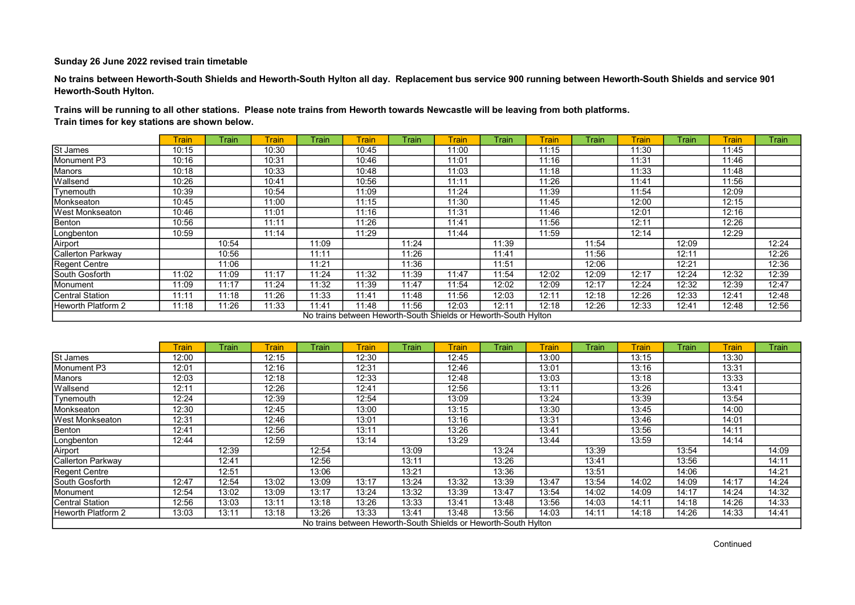No trains between Heworth-South Shields and Heworth-South Hylton all day. Replacement bus service 900 running between Heworth-South Shields and service 901 Heworth-South Hylton.

Trains will be running to all other stations. Please note trains from Heworth towards Newcastle will be leaving from both platforms. Train times for key stations are shown below.

|                           | <b>Train</b> | Train | Frain | Train | <b>Train</b> | Train | <b>Train</b>                                                    | Train | Train | Train | Train | Train | <b>Train</b> | Train |
|---------------------------|--------------|-------|-------|-------|--------------|-------|-----------------------------------------------------------------|-------|-------|-------|-------|-------|--------------|-------|
| St James                  | 10:15        |       | 10:30 |       | 10:45        |       | 11:00                                                           |       | 11:15 |       | 11:30 |       | 11:45        |       |
| Monument P3               | 10:16        |       | 10:31 |       | 10:46        |       | 11:01                                                           |       | 11:16 |       | 11:31 |       | 11:46        |       |
| Manors                    | 10:18        |       | 10:33 |       | 10:48        |       | 11:03                                                           |       | 11:18 |       | 11:33 |       | 11:48        |       |
| Wallsend                  | 10:26        |       | 10:41 |       | 10:56        |       | 11:11                                                           |       | 11:26 |       | 11:41 |       | 11:56        |       |
| Tynemouth                 | 10:39        |       | 10:54 |       | 11:09        |       | 11:24                                                           |       | 11:39 |       | 11:54 |       | 12:09        |       |
| Monkseaton                | 10:45        |       | 11:00 |       | 11:15        |       | 11:30                                                           |       | 11:45 |       | 12:00 |       | 12:15        |       |
| <b>West Monkseaton</b>    | 10:46        |       | 11:01 |       | 11:16        |       | 11:31                                                           |       | 11:46 |       | 12:01 |       | 12:16        |       |
| Benton                    | 10:56        |       | 11:11 |       | 11:26        |       | 11:41                                                           |       | 11:56 |       | 12:11 |       | 12:26        |       |
| Longbenton                | 10:59        |       | 11:14 |       | 11:29        |       | 11:44                                                           |       | 11:59 |       | 12:14 |       | 12:29        |       |
| Airport                   |              | 10:54 |       | 11:09 |              | 11:24 |                                                                 | 11:39 |       | 11:54 |       | 12:09 |              | 12:24 |
| <b>Callerton Parkway</b>  |              | 10:56 |       | 11:11 |              | 11:26 |                                                                 | 11:41 |       | 11:56 |       | 12:11 |              | 12:26 |
| Regent Centre             |              | 11:06 |       | 11:21 |              | 11:36 |                                                                 | 11:51 |       | 12:06 |       | 12:21 |              | 12:36 |
| <b>South Gosforth</b>     | 11:02        | 11:09 | 11:17 | 11:24 | 11:32        | 11:39 | 11:47                                                           | 11:54 | 12:02 | 12:09 | 12:17 | 12:24 | 12:32        | 12:39 |
| Monument                  | 11:09        | 11:17 | 11:24 | 11:32 | 11:39        | 11:47 | 11:54                                                           | 12:02 | 12:09 | 12:17 | 12:24 | 12:32 | 12:39        | 12:47 |
| Central Station           | 11:11        | 11:18 | 11:26 | 11:33 | 11:41        | 11:48 | 11:56                                                           | 12:03 | 12:11 | 12:18 | 12:26 | 12:33 | 12:41        | 12:48 |
| <b>Heworth Platform 2</b> | 11:18        | 11:26 | 11:33 | 11:41 | 11:48        | 11:56 | 12:03                                                           | 12:11 | 12:18 | 12:26 | 12:33 | 12:41 | 12:48        | 12:56 |
|                           |              |       |       |       |              |       | No trains between Heworth-South Shields or Heworth-South Hylton |       |       |       |       |       |              |       |

|                         | <b>Train</b> | Train | Frain | Train | <b>Train</b>                                                    | Train | Train | Train | Train | Train | Train | Train | <b>Train</b> | Train |
|-------------------------|--------------|-------|-------|-------|-----------------------------------------------------------------|-------|-------|-------|-------|-------|-------|-------|--------------|-------|
| St James                | 12:00        |       | 12:15 |       | 12:30                                                           |       | 12:45 |       | 13:00 |       | 13:15 |       | 13:30        |       |
| Monument P3             | 12:01        |       | 12:16 |       | 12:31                                                           |       | 12:46 |       | 13:01 |       | 13:16 |       | 13:31        |       |
| Manors                  | 12:03        |       | 12:18 |       | 12:33                                                           |       | 12:48 |       | 13:03 |       | 13:18 |       | 13:33        |       |
| Wallsend                | 12:11        |       | 12:26 |       | 12:41                                                           |       | 12:56 |       | 13:11 |       | 13:26 |       | 13:41        |       |
| Tynemouth               | 12:24        |       | 12:39 |       | 12:54                                                           |       | 13:09 |       | 13:24 |       | 13:39 |       | 13:54        |       |
| Monkseaton              | 12:30        |       | 12:45 |       | 13:00                                                           |       | 13:15 |       | 13:30 |       | 13:45 |       | 14:00        |       |
| <b>IWest Monkseaton</b> | 12:31        |       | 12:46 |       | 13:01                                                           |       | 13:16 |       | 13:31 |       | 13:46 |       | 14:01        |       |
| Benton                  | 12:41        |       | 12:56 |       | 13:11                                                           |       | 13:26 |       | 13:41 |       | 13:56 |       | 14:11        |       |
| Longbenton              | 12:44        |       | 12:59 |       | 13:14                                                           |       | 13:29 |       | 13:44 |       | 13:59 |       | 14:14        |       |
| Airport                 |              | 12:39 |       | 12:54 |                                                                 | 13:09 |       | 13:24 |       | 13:39 |       | 13:54 |              | 14:09 |
| Callerton Parkway       |              | 12:41 |       | 12:56 |                                                                 | 13:11 |       | 13:26 |       | 13:41 |       | 13:56 |              | 14:11 |
| Regent Centre           |              | 12:51 |       | 13:06 |                                                                 | 13:21 |       | 13:36 |       | 13:51 |       | 14:06 |              | 14:21 |
| South Gosforth          | 12:47        | 12:54 | 13:02 | 13:09 | 13:17                                                           | 13:24 | 13:32 | 13:39 | 13:47 | 13:54 | 14:02 | 14:09 | 14:17        | 14:24 |
| Monument                | 12:54        | 13:02 | 13:09 | 13:17 | 13:24                                                           | 13:32 | 13:39 | 13:47 | 13:54 | 14:02 | 14:09 | 14:17 | 14:24        | 14:32 |
| Central Station         | 12:56        | 13:03 | 13:11 | 13:18 | 13:26                                                           | 13:33 | 13:41 | 13:48 | 13:56 | 14:03 | 14:11 | 14:18 | 14:26        | 14:33 |
| Heworth Platform 2      | 13:03        | 13:11 | 13:18 | 13:26 | 13:33                                                           | 13:41 | 13:48 | 13:56 | 14:03 | 14:11 | 14:18 | 14:26 | 14:33        | 14:41 |
|                         |              |       |       |       | No trains between Heworth-South Shields or Heworth-South Hylton |       |       |       |       |       |       |       |              |       |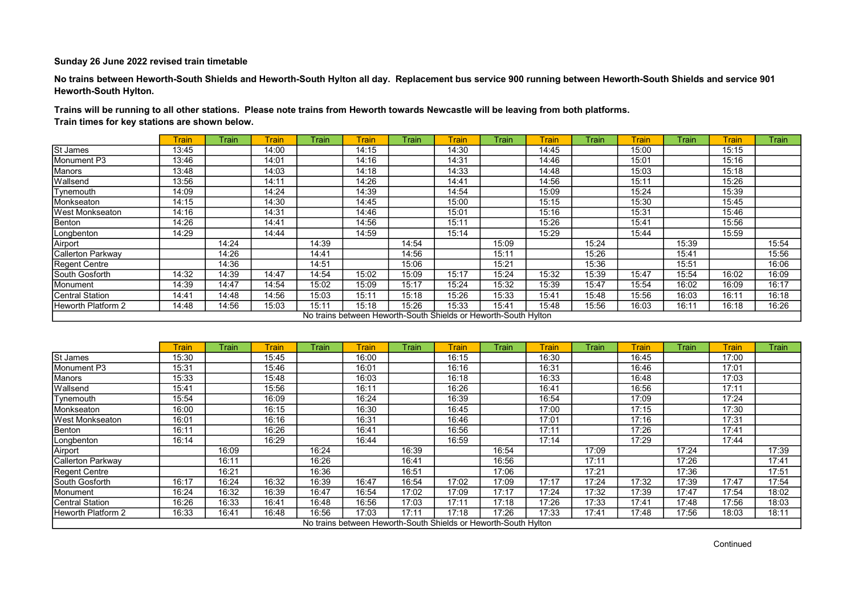No trains between Heworth-South Shields and Heworth-South Hylton all day. Replacement bus service 900 running between Heworth-South Shields and service 901 Heworth-South Hylton.

Trains will be running to all other stations. Please note trains from Heworth towards Newcastle will be leaving from both platforms. Train times for key stations are shown below.

|                           | <b>Train</b> | Train | Frain. | <b>Train</b> | <b>Train</b> | Train | <b>Train</b>                                                    | Train | <b>Train</b> | Train | Train | Train | <b>Train</b> | Train |
|---------------------------|--------------|-------|--------|--------------|--------------|-------|-----------------------------------------------------------------|-------|--------------|-------|-------|-------|--------------|-------|
| St James                  | 13:45        |       | 14:00  |              | 14:15        |       | 14:30                                                           |       | 14:45        |       | 15:00 |       | 15:15        |       |
| Monument P3               | 13:46        |       | 14:01  |              | 14:16        |       | 14:31                                                           |       | 14:46        |       | 15:01 |       | 15:16        |       |
| Manors                    | 13:48        |       | 14:03  |              | 14:18        |       | 14:33                                                           |       | 14:48        |       | 15:03 |       | 15:18        |       |
| Wallsend                  | 13:56        |       | 14:11  |              | 14:26        |       | 14:41                                                           |       | 14:56        |       | 15:11 |       | 15:26        |       |
| Tynemouth                 | 14:09        |       | 14:24  |              | 14:39        |       | 14:54                                                           |       | 15:09        |       | 15:24 |       | 15:39        |       |
| Monkseaton                | 14:15        |       | 14:30  |              | 14:45        |       | 15:00                                                           |       | 15:15        |       | 15:30 |       | 15:45        |       |
| <b>West Monkseaton</b>    | 14:16        |       | 14:31  |              | 14:46        |       | 15:01                                                           |       | 15:16        |       | 15:31 |       | 15:46        |       |
| Benton                    | 14:26        |       | 14:41  |              | 14:56        |       | 15:11                                                           |       | 15:26        |       | 15:41 |       | 15:56        |       |
| Longbenton                | 14:29        |       | 14:44  |              | 14:59        |       | 15:14                                                           |       | 15:29        |       | 15:44 |       | 15:59        |       |
| Airport                   |              | 14:24 |        | 14:39        |              | 14:54 |                                                                 | 15:09 |              | 15:24 |       | 15:39 |              | 15:54 |
| Callerton Parkway         |              | 14:26 |        | 14:41        |              | 14:56 |                                                                 | 15:11 |              | 15:26 |       | 15:41 |              | 15:56 |
| Regent Centre             |              | 14:36 |        | 14:51        |              | 15:06 |                                                                 | 15:21 |              | 15:36 |       | 15:51 |              | 16:06 |
| <b>South Gosforth</b>     | 14:32        | 14:39 | 14:47  | 14:54        | 15:02        | 15:09 | 15:17                                                           | 15:24 | 15:32        | 15:39 | 15:47 | 15:54 | 16:02        | 16:09 |
| Monument                  | 14:39        | 14:47 | 14:54  | 15:02        | 15:09        | 15:17 | 15:24                                                           | 15:32 | 15:39        | 15:47 | 15:54 | 16:02 | 16:09        | 16:17 |
| Central Station           | 14:41        | 14:48 | 14:56  | 15:03        | 15:11        | 15:18 | 15:26                                                           | 15:33 | 15:41        | 15:48 | 15:56 | 16:03 | 16:11        | 16:18 |
| <b>Heworth Platform 2</b> | 14:48        | 14:56 | 15:03  | 15:11        | 15:18        | 15:26 | 15:33                                                           | 15:41 | 15:48        | 15:56 | 16:03 | 16:11 | 16:18        | 16:26 |
|                           |              |       |        |              |              |       | No trains between Heworth-South Shields or Heworth-South Hylton |       |              |       |       |       |              |       |

|                         | <b>Train</b> | Train | Frain | <b>Train</b> | <b>Train</b>                                                    | Train | Train | Train | Train | Train | Train | Train | <b>Train</b> | Train |
|-------------------------|--------------|-------|-------|--------------|-----------------------------------------------------------------|-------|-------|-------|-------|-------|-------|-------|--------------|-------|
| St James                | 15:30        |       | 15:45 |              | 16:00                                                           |       | 16:15 |       | 16:30 |       | 16:45 |       | 17:00        |       |
| Monument P3             | 15:31        |       | 15:46 |              | 16:01                                                           |       | 16:16 |       | 16:31 |       | 16:46 |       | 17:01        |       |
| Manors                  | 15:33        |       | 15:48 |              | 16:03                                                           |       | 16:18 |       | 16:33 |       | 16:48 |       | 17:03        |       |
| Wallsend                | 15:41        |       | 15:56 |              | 16:11                                                           |       | 16:26 |       | 16:41 |       | 16:56 |       | 17:11        |       |
| Tynemouth               | 15:54        |       | 16:09 |              | 16:24                                                           |       | 16:39 |       | 16:54 |       | 17:09 |       | 17:24        |       |
| Monkseaton              | 16:00        |       | 16:15 |              | 16:30                                                           |       | 16:45 |       | 17:00 |       | 17:15 |       | 17:30        |       |
| <b>IWest Monkseaton</b> | 16:01        |       | 16:16 |              | 16:31                                                           |       | 16:46 |       | 17:01 |       | 17:16 |       | 17:31        |       |
| Benton                  | 16:11        |       | 16:26 |              | 16:41                                                           |       | 16:56 |       | 17:11 |       | 17:26 |       | 17:41        |       |
| Longbenton              | 16:14        |       | 16:29 |              | 16:44                                                           |       | 16:59 |       | 17:14 |       | 17:29 |       | 17:44        |       |
| Airport                 |              | 16:09 |       | 16:24        |                                                                 | 16:39 |       | 16:54 |       | 17:09 |       | 17:24 |              | 17:39 |
| Callerton Parkway       |              | 16:11 |       | 16:26        |                                                                 | 16:41 |       | 16:56 |       | 17:11 |       | 17:26 |              | 17:41 |
| Regent Centre           |              | 16:21 |       | 16:36        |                                                                 | 16:51 |       | 17:06 |       | 17:21 |       | 17:36 |              | 17:51 |
| South Gosforth          | 16:17        | 16:24 | 16:32 | 16:39        | 16:47                                                           | 16:54 | 17:02 | 17:09 | 17:17 | 17:24 | 17:32 | 17:39 | 17:47        | 17:54 |
| Monument                | 16:24        | 16:32 | 16:39 | 16:47        | 16:54                                                           | 17:02 | 17:09 | 17:17 | 17:24 | 17:32 | 17:39 | 17:47 | 17:54        | 18:02 |
| Central Station         | 16:26        | 16:33 | 16:41 | 16:48        | 16:56                                                           | 17:03 | 17:11 | 17:18 | 17:26 | 17:33 | 17:41 | 17:48 | 17:56        | 18:03 |
| Heworth Platform 2      | 16:33        | 16:41 | 16:48 | 16:56        | 17:03                                                           | 17:11 | 17:18 | 17:26 | 17:33 | 17:41 | 17:48 | 17:56 | 18:03        | 18:11 |
|                         |              |       |       |              | No trains between Heworth-South Shields or Heworth-South Hylton |       |       |       |       |       |       |       |              |       |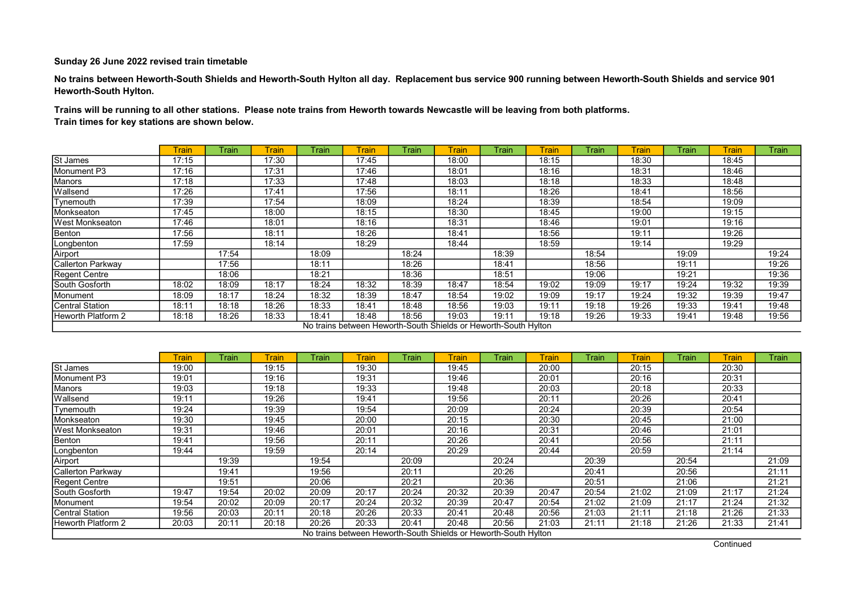No trains between Heworth-South Shields and Heworth-South Hylton all day. Replacement bus service 900 running between Heworth-South Shields and service 901 Heworth-South Hylton.

Trains will be running to all other stations. Please note trains from Heworth towards Newcastle will be leaving from both platforms. Train times for key stations are shown below.

|                           | <b>rain</b> | Train | Train. | Train | <b>Train</b> | Train | <b>Train</b>                                                    | Train | Train | Train | <b>Train</b> | Train | Train | <b>Train</b> |
|---------------------------|-------------|-------|--------|-------|--------------|-------|-----------------------------------------------------------------|-------|-------|-------|--------------|-------|-------|--------------|
| St James                  | 17:15       |       | 17:30  |       | 17:45        |       | 18:00                                                           |       | 18:15 |       | 18:30        |       | 18:45 |              |
| Monument P3               | 17:16       |       | 17:31  |       | 17:46        |       | 18:01                                                           |       | 18:16 |       | 18:31        |       | 18:46 |              |
| Manors                    | 17:18       |       | 17:33  |       | 17:48        |       | 18:03                                                           |       | 18:18 |       | 18:33        |       | 18:48 |              |
| Wallsend                  | 17:26       |       | 17:41  |       | 17:56        |       | 18:11                                                           |       | 18:26 |       | 18:41        |       | 18:56 |              |
| Tynemouth                 | 17:39       |       | 17:54  |       | 18:09        |       | 18:24                                                           |       | 18:39 |       | 18:54        |       | 19:09 |              |
| Monkseaton                | 17:45       |       | 18:00  |       | 18:15        |       | 18:30                                                           |       | 18:45 |       | 19:00        |       | 19:15 |              |
| <b>West Monkseaton</b>    | 17:46       |       | 18:01  |       | 18:16        |       | 18:31                                                           |       | 18:46 |       | 19:01        |       | 19:16 |              |
| Benton                    | 17:56       |       | 18:11  |       | 18:26        |       | 18:41                                                           |       | 18:56 |       | 19:11        |       | 19:26 |              |
| Longbenton                | 17:59       |       | 18:14  |       | 18:29        |       | 18:44                                                           |       | 18:59 |       | 19:14        |       | 19:29 |              |
| Airport                   |             | 17:54 |        | 18:09 |              | 18:24 |                                                                 | 18:39 |       | 18:54 |              | 19:09 |       | 19:24        |
| Callerton Parkway         |             | 17:56 |        | 18:11 |              | 18:26 |                                                                 | 18:41 |       | 18:56 |              | 19:11 |       | 19:26        |
| Regent Centre             |             | 18:06 |        | 18:21 |              | 18:36 |                                                                 | 18:51 |       | 19:06 |              | 19:21 |       | 19:36        |
| South Gosforth            | 18:02       | 18:09 | 18:17  | 18:24 | 18:32        | 18:39 | 18:47                                                           | 18:54 | 19:02 | 19:09 | 19:17        | 19:24 | 19:32 | 19:39        |
| Monument                  | 18:09       | 18:17 | 18:24  | 18:32 | 18:39        | 18:47 | 18:54                                                           | 19:02 | 19:09 | 19:17 | 19:24        | 19:32 | 19:39 | 19:47        |
| <b>ICentral Station</b>   | 18:11       | 18:18 | 18:26  | 18:33 | 18:41        | 18:48 | 18:56                                                           | 19:03 | 19:11 | 19:18 | 19:26        | 19:33 | 19:41 | 19:48        |
| <b>Heworth Platform 2</b> | 18:18       | 18:26 | 18:33  | 18:41 | 18:48        | 18:56 | 19:03                                                           | 19:11 | 19:18 | 19:26 | 19:33        | 19:41 | 19:48 | 19:56        |
|                           |             |       |        |       |              |       | No trains between Heworth-South Shields or Heworth-South Hylton |       |       |       |              |       |       |              |

|                         | <b>Train</b> | Train | Train | Train | <b>Train</b>                                                    | Train | Train | Train | Train | Train | <b>Train</b> | Train | Train | Train |
|-------------------------|--------------|-------|-------|-------|-----------------------------------------------------------------|-------|-------|-------|-------|-------|--------------|-------|-------|-------|
| St James                | 19:00        |       | 19:15 |       | 19:30                                                           |       | 19:45 |       | 20:00 |       | 20:15        |       | 20:30 |       |
| Monument P3             | 19:01        |       | 19:16 |       | 19:31                                                           |       | 19:46 |       | 20:01 |       | 20:16        |       | 20:31 |       |
| Manors                  | 19:03        |       | 19:18 |       | 19:33                                                           |       | 19:48 |       | 20:03 |       | 20:18        |       | 20:33 |       |
| Wallsend                | 19:11        |       | 19:26 |       | 19:41                                                           |       | 19:56 |       | 20:11 |       | 20:26        |       | 20:41 |       |
| Tynemouth               | 19:24        |       | 19:39 |       | 19:54                                                           |       | 20:09 |       | 20:24 |       | 20:39        |       | 20:54 |       |
| Monkseaton              | 19:30        |       | 19:45 |       | 20:00                                                           |       | 20:15 |       | 20:30 |       | 20:45        |       | 21:00 |       |
| <b>IWest Monkseaton</b> | 19:31        |       | 19:46 |       | 20:01                                                           |       | 20:16 |       | 20:31 |       | 20:46        |       | 21:01 |       |
| Benton                  | 19:41        |       | 19:56 |       | 20:11                                                           |       | 20:26 |       | 20:41 |       | 20:56        |       | 21:11 |       |
| Longbenton              | 19:44        |       | 19:59 |       | 20:14                                                           |       | 20:29 |       | 20:44 |       | 20:59        |       | 21:14 |       |
| Airport                 |              | 19:39 |       | 19:54 |                                                                 | 20:09 |       | 20:24 |       | 20:39 |              | 20:54 |       | 21:09 |
| Callerton Parkway       |              | 19:41 |       | 19:56 |                                                                 | 20:11 |       | 20:26 |       | 20:41 |              | 20:56 |       | 21:11 |
| Regent Centre           |              | 19:51 |       | 20:06 |                                                                 | 20:21 |       | 20:36 |       | 20:51 |              | 21:06 |       | 21:21 |
| South Gosforth          | 19:47        | 19:54 | 20:02 | 20:09 | 20:17                                                           | 20:24 | 20:32 | 20:39 | 20:47 | 20:54 | 21:02        | 21:09 | 21:17 | 21:24 |
| Monument                | 19:54        | 20:02 | 20:09 | 20:17 | 20:24                                                           | 20:32 | 20:39 | 20:47 | 20:54 | 21:02 | 21:09        | 21:17 | 21:24 | 21:32 |
| Central Station         | 19:56        | 20:03 | 20:11 | 20:18 | 20:26                                                           | 20:33 | 20:41 | 20:48 | 20:56 | 21:03 | 21:11        | 21:18 | 21:26 | 21:33 |
| Heworth Platform 2      | 20:03        | 20:11 | 20:18 | 20:26 | 20:33                                                           | 20:41 | 20:48 | 20:56 | 21:03 | 21:11 | 21:18        | 21:26 | 21:33 | 21:41 |
|                         |              |       |       |       | No trains between Heworth-South Shields or Heworth-South Hylton |       |       |       |       |       |              |       |       |       |

**Continued**